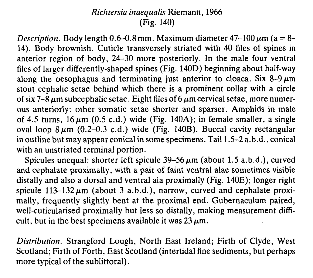## Richtersia inaequalis Riemann, 1966 (Fig. 140)

Description. Body length  $0.6-0.8$  mm. Maximum diameter  $47-100 \,\mu m$  (a = 8-14). Body brownish. Cuticle transversely striated with 40 files of spines in anterior region of body, 24-30 more posteriorly. In the male four ventral files of larger differently-shaped spines (Fig. 140D) beginning about half-way along the oesophagus and terminating just anterior to cloaca. Six 8-9  $\mu$ m stout cephalic setae behind which there is a prominent collar with a circle of six 7-8  $\mu$ m subcephalic setae. Eight files of 6  $\mu$ m cervical setae, more numerous anteriorly: other somatic setae shorter and sparser. Amphids in male of 4.5 turns,  $16 \mu m$  (0.5 c.d.) wide (Fig. 140A); in female smaller, a single oval loop  $8 \mu m$  (0.2–0.3 c.d.) wide (Fig. 140B). Buccal cavity rectangular in outline but may appear conical in some specimens. Tail 1 1.5-2 a.b.d., conical with an unstriated terminal portion.

Spicules unequal: shorter left spicule  $39-56 \mu m$  (about 1.5 a.b.d.), curved and cephalate proximally, with a pair of faint ventral alae sometimes visible distally and also a dorsal and ventral ala proximally (Fig. 140E); longer right spicule  $113-132 \mu m$  (about 3 a.b.d.), narrow, curved and cephalate proximally, frequently slightly bent at the proximal end. Gubernaculum paired, well-cuticularised proximally but less so distally, making measurement difficult, but in the best specimens available it was  $23 \mu m$ .

Distribution. Strangford Lough, North East Ireland; Firth of Clyde, West Scotland; Firth of Forth, East Scotland (intertidal fine sediments, but perhaps more typical of the sublittoral).